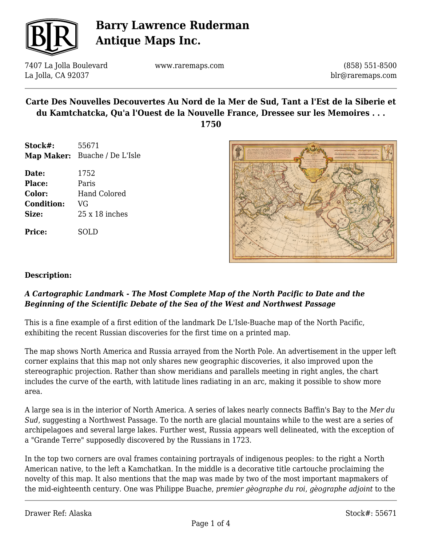

7407 La Jolla Boulevard La Jolla, CA 92037

www.raremaps.com

(858) 551-8500 blr@raremaps.com

## **Carte Des Nouvelles Decouvertes Au Nord de la Mer de Sud, Tant a l'Est de la Siberie et du Kamtchatcka, Qu'a l'Ouest de la Nouvelle France, Dressee sur les Memoires . . .**

**1750**

- **Stock#:** 55671 **Map Maker:** Buache / De L'Isle
- **Date:** 1752 **Place:** Paris **Color:** Hand Colored **Condition:** VG **Size:** 25 x 18 inches

**Price:** SOLD



### **Description:**

### *A Cartographic Landmark - The Most Complete Map of the North Pacific to Date and the Beginning of the Scientific Debate of the Sea of the West and Northwest Passage*

This is a fine example of a first edition of the landmark De L'Isle-Buache map of the North Pacific, exhibiting the recent Russian discoveries for the first time on a printed map.

The map shows North America and Russia arrayed from the North Pole. An advertisement in the upper left corner explains that this map not only shares new geographic discoveries, it also improved upon the stereographic projection. Rather than show meridians and parallels meeting in right angles, the chart includes the curve of the earth, with latitude lines radiating in an arc, making it possible to show more area.

A large sea is in the interior of North America. A series of lakes nearly connects Baffin's Bay to the *Mer du Sud*, suggesting a Northwest Passage. To the north are glacial mountains while to the west are a series of archipelagoes and several large lakes. Further west, Russia appears well delineated, with the exception of a "Grande Terre" supposedly discovered by the Russians in 1723.

In the top two corners are oval frames containing portrayals of indigenous peoples: to the right a North American native, to the left a Kamchatkan. In the middle is a decorative title cartouche proclaiming the novelty of this map. It also mentions that the map was made by two of the most important mapmakers of the mid-eighteenth century. One was Philippe Buache, *premier gèographe du roi*, *gèographe adjoint* to the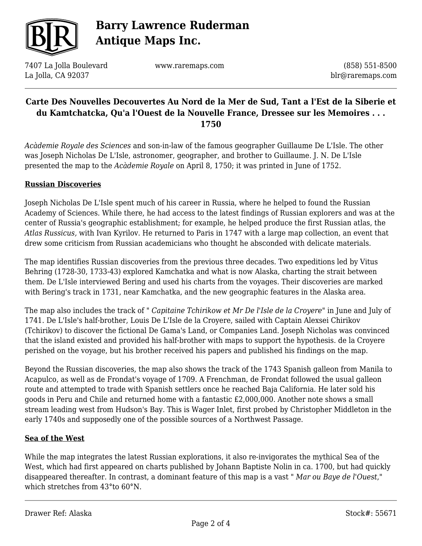

7407 La Jolla Boulevard La Jolla, CA 92037

www.raremaps.com

(858) 551-8500 blr@raremaps.com

## **Carte Des Nouvelles Decouvertes Au Nord de la Mer de Sud, Tant a l'Est de la Siberie et du Kamtchatcka, Qu'a l'Ouest de la Nouvelle France, Dressee sur les Memoires . . . 1750**

*Acàdemie Royale des Sciences* and son-in-law of the famous geographer Guillaume De L'Isle. The other was Joseph Nicholas De L'Isle, astronomer, geographer, and brother to Guillaume. J. N. De L'Isle presented the map to the *Acàdemie Royale* on April 8, 1750; it was printed in June of 1752.

#### **Russian Discoveries**

Joseph Nicholas De L'Isle spent much of his career in Russia, where he helped to found the Russian Academy of Sciences. While there, he had access to the latest findings of Russian explorers and was at the center of Russia's geographic establishment; for example, he helped produce the first Russian atlas, the *Atlas Russicus,* with Ivan Kyrilov. He returned to Paris in 1747 with a large map collection, an event that drew some criticism from Russian academicians who thought he absconded with delicate materials.

The map identifies Russian discoveries from the previous three decades. Two expeditions led by Vitus Behring (1728-30, 1733-43) explored Kamchatka and what is now Alaska, charting the strait between them. De L'Isle interviewed Bering and used his charts from the voyages. Their discoveries are marked with Bering's track in 1731, near Kamchatka, and the new geographic features in the Alaska area.

The map also includes the track of " *Capitaine Tchirikow et Mr De l'Isle de la Croyere*" in June and July of 1741. De L'Isle's half-brother, Louis De L'Isle de la Croyere, sailed with Captain Alexsei Chirikov (Tchirikov) to discover the fictional De Gama's Land, or Companies Land. Joseph Nicholas was convinced that the island existed and provided his half-brother with maps to support the hypothesis. de la Croyere perished on the voyage, but his brother received his papers and published his findings on the map.

Beyond the Russian discoveries, the map also shows the track of the 1743 Spanish galleon from Manila to Acapulco, as well as de Frondat's voyage of 1709. A Frenchman, de Frondat followed the usual galleon route and attempted to trade with Spanish settlers once he reached Baja California. He later sold his goods in Peru and Chile and returned home with a fantastic £2,000,000. Another note shows a small stream leading west from Hudson's Bay. This is Wager Inlet, first probed by Christopher Middleton in the early 1740s and supposedly one of the possible sources of a Northwest Passage.

#### **Sea of the West**

While the map integrates the latest Russian explorations, it also re-invigorates the mythical Sea of the West, which had first appeared on charts published by Johann Baptiste Nolin in ca. 1700, but had quickly disappeared thereafter. In contrast, a dominant feature of this map is a vast " *Mar ou Baye de l'Ouest*," which stretches from 43°to 60°N.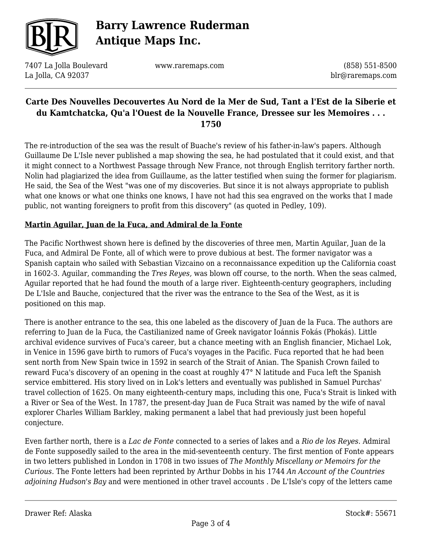

7407 La Jolla Boulevard La Jolla, CA 92037

www.raremaps.com

(858) 551-8500 blr@raremaps.com

## **Carte Des Nouvelles Decouvertes Au Nord de la Mer de Sud, Tant a l'Est de la Siberie et du Kamtchatcka, Qu'a l'Ouest de la Nouvelle France, Dressee sur les Memoires . . . 1750**

The re-introduction of the sea was the result of Buache's review of his father-in-law's papers. Although Guillaume De L'Isle never published a map showing the sea, he had postulated that it could exist, and that it might connect to a Northwest Passage through New France, not through English territory farther north. Nolin had plagiarized the idea from Guillaume, as the latter testified when suing the former for plagiarism. He said, the Sea of the West "was one of my discoveries. But since it is not always appropriate to publish what one knows or what one thinks one knows, I have not had this sea engraved on the works that I made public, not wanting foreigners to profit from this discovery" (as quoted in Pedley, 109).

### **Martin Aguilar, Juan de la Fuca, and Admiral de la Fonte**

The Pacific Northwest shown here is defined by the discoveries of three men, Martin Aguilar, Juan de la Fuca, and Admiral De Fonte, all of which were to prove dubious at best. The former navigator was a Spanish captain who sailed with Sebastian Vizcaino on a reconnaissance expedition up the California coast in 1602-3. Aguilar, commanding the *Tres Reyes,* was blown off course, to the north. When the seas calmed, Aguilar reported that he had found the mouth of a large river. Eighteenth-century geographers, including De L'Isle and Bauche, conjectured that the river was the entrance to the Sea of the West, as it is positioned on this map.

There is another entrance to the sea, this one labeled as the discovery of Juan de la Fuca. The authors are referring to Juan de la Fuca, the Castilianized name of Greek navigator Ioánnis Fokás (Phokás). Little archival evidence survives of Fuca's career, but a chance meeting with an English financier, Michael Lok, in Venice in 1596 gave birth to rumors of Fuca's voyages in the Pacific. Fuca reported that he had been sent north from New Spain twice in 1592 in search of the Strait of Anian. The Spanish Crown failed to reward Fuca's discovery of an opening in the coast at roughly 47° N latitude and Fuca left the Spanish service embittered. His story lived on in Lok's letters and eventually was published in Samuel Purchas' travel collection of 1625. On many eighteenth-century maps, including this one, Fuca's Strait is linked with a River or Sea of the West. In 1787, the present-day Juan de Fuca Strait was named by the wife of naval explorer Charles William Barkley, making permanent a label that had previously just been hopeful conjecture.

Even farther north, there is a *Lac de Fonte* connected to a series of lakes and a *Rio de los Reyes*. Admiral de Fonte supposedly sailed to the area in the mid-seventeenth century. The first mention of Fonte appears in two letters published in London in 1708 in two issues of *The Monthly Miscellany or Memoirs for the Curious.* The Fonte letters had been reprinted by Arthur Dobbs in his 1744 *An Account of the Countries adjoining Hudson's Bay* and were mentioned in other travel accounts *.* De L'Isle's copy of the letters came